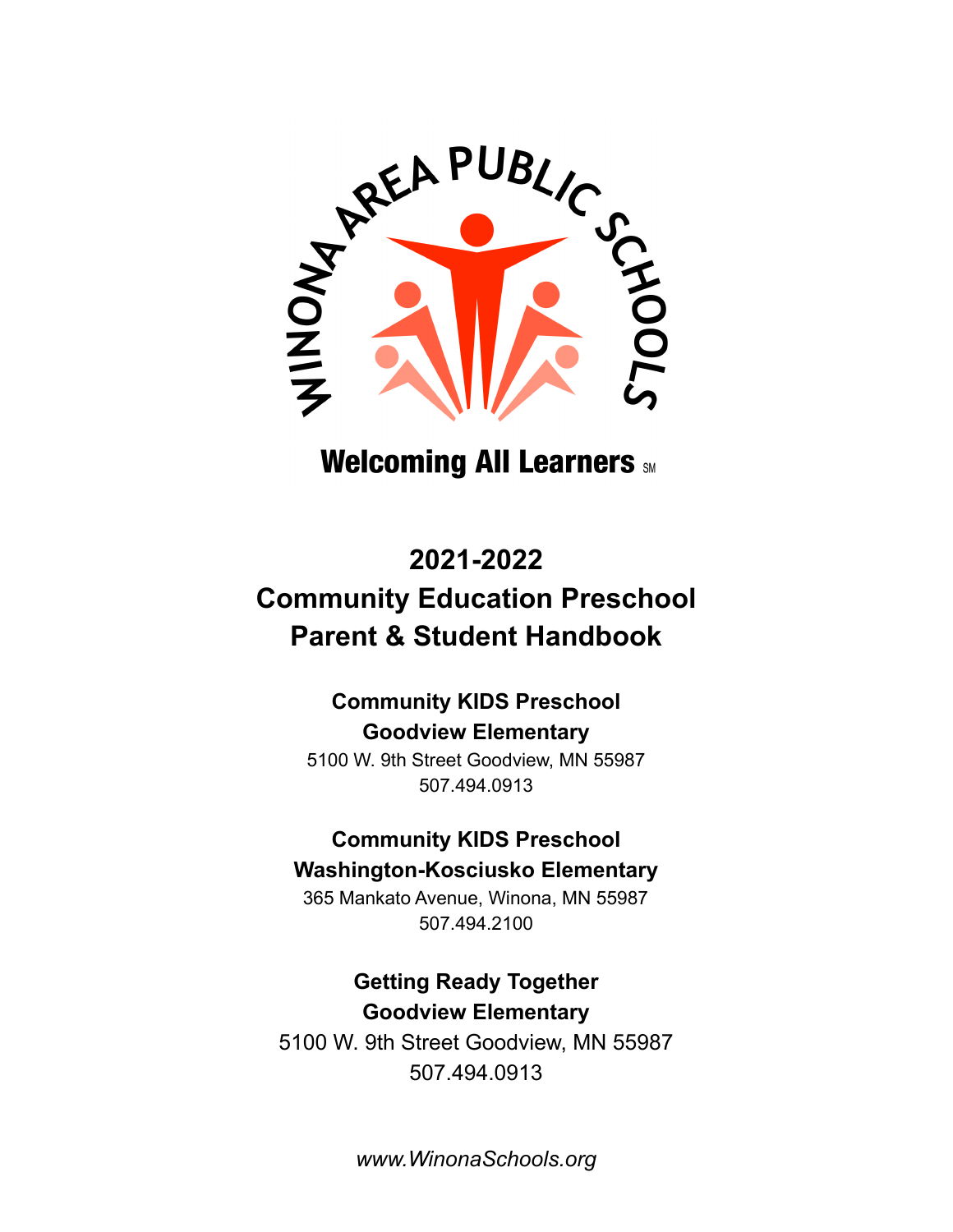

# **Welcoming All Learners SM**

# **2021-2022 Community Education Preschool Parent & Student Handbook**

# **Community KIDS Preschool Goodview Elementary**

5100 W. 9th Street Goodview, MN 55987 507.494.0913

# **Community KIDS Preschool Washington-Kosciusko Elementary**

365 Mankato Avenue, Winona, MN 55987 507.494.2100

# **Getting Ready Together Goodview Elementary**

5100 W. 9th Street Goodview, MN 55987 507.494.0913

*www.WinonaSchools.org*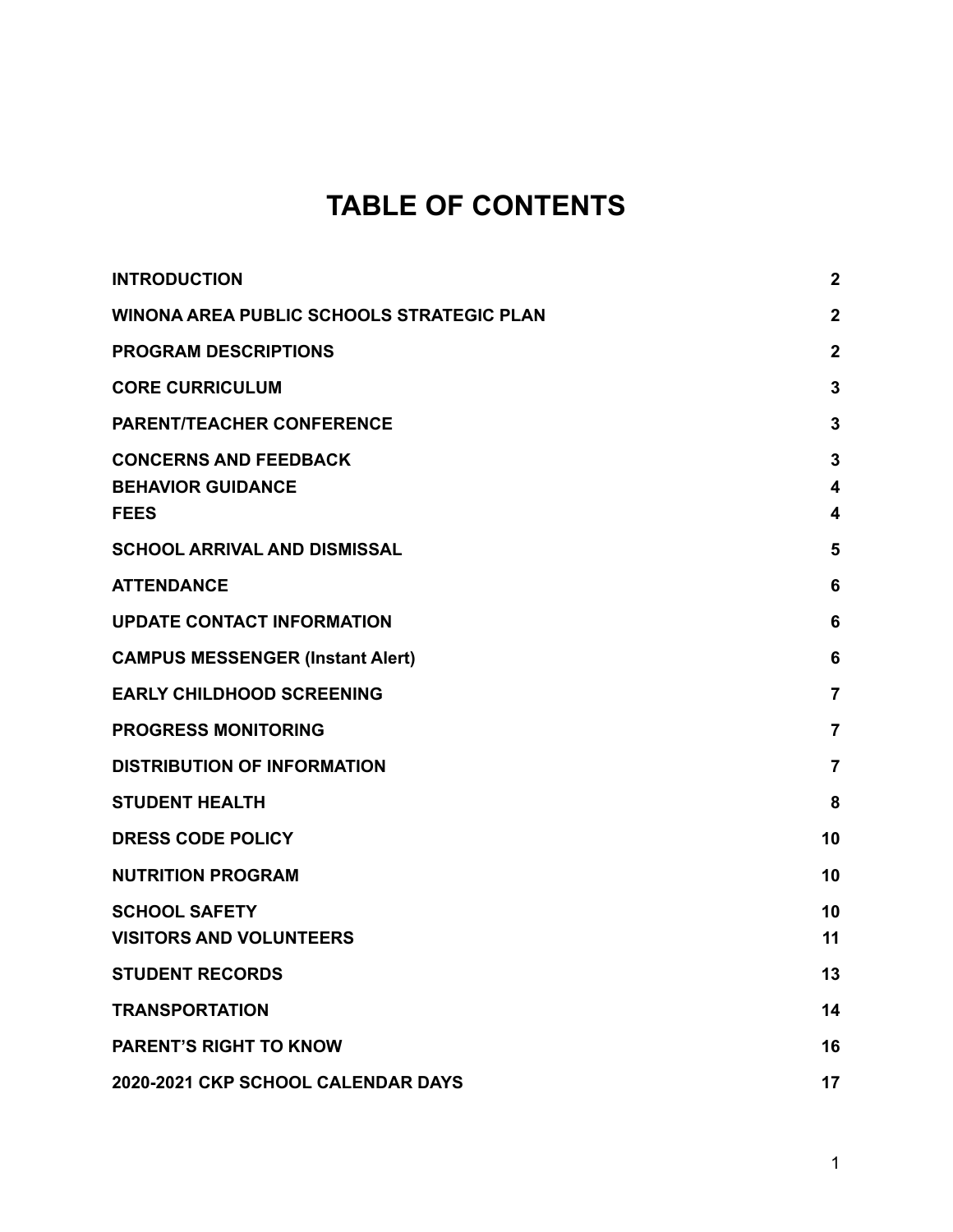# **TABLE OF CONTENTS**

| <b>INTRODUCTION</b>                                                     | $\mathbf{2}$                      |
|-------------------------------------------------------------------------|-----------------------------------|
| <b>WINONA AREA PUBLIC SCHOOLS STRATEGIC PLAN</b>                        | $\mathbf{2}$                      |
| <b>PROGRAM DESCRIPTIONS</b>                                             | $\mathbf{2}$                      |
| <b>CORE CURRICULUM</b>                                                  | 3                                 |
| <b>PARENT/TEACHER CONFERENCE</b>                                        | 3                                 |
| <b>CONCERNS AND FEEDBACK</b><br><b>BEHAVIOR GUIDANCE</b><br><b>FEES</b> | 3<br>$\overline{\mathbf{4}}$<br>4 |
| <b>SCHOOL ARRIVAL AND DISMISSAL</b>                                     | 5                                 |
| <b>ATTENDANCE</b>                                                       | 6                                 |
| <b>UPDATE CONTACT INFORMATION</b>                                       | 6                                 |
| <b>CAMPUS MESSENGER (Instant Alert)</b>                                 | 6                                 |
| <b>EARLY CHILDHOOD SCREENING</b>                                        | $\overline{7}$                    |
| <b>PROGRESS MONITORING</b>                                              | $\overline{7}$                    |
| <b>DISTRIBUTION OF INFORMATION</b>                                      | $\overline{7}$                    |
| <b>STUDENT HEALTH</b>                                                   | 8                                 |
| <b>DRESS CODE POLICY</b>                                                | 10                                |
| <b>NUTRITION PROGRAM</b>                                                | 10                                |
| <b>SCHOOL SAFETY</b><br><b>VISITORS AND VOLUNTEERS</b>                  | 10<br>11                          |
| <b>STUDENT RECORDS</b>                                                  | 13                                |
| <b>TRANSPORTATION</b>                                                   | 14                                |
| <b>PARENT'S RIGHT TO KNOW</b>                                           | 16                                |
| 2020-2021 CKP SCHOOL CALENDAR DAYS                                      | 17                                |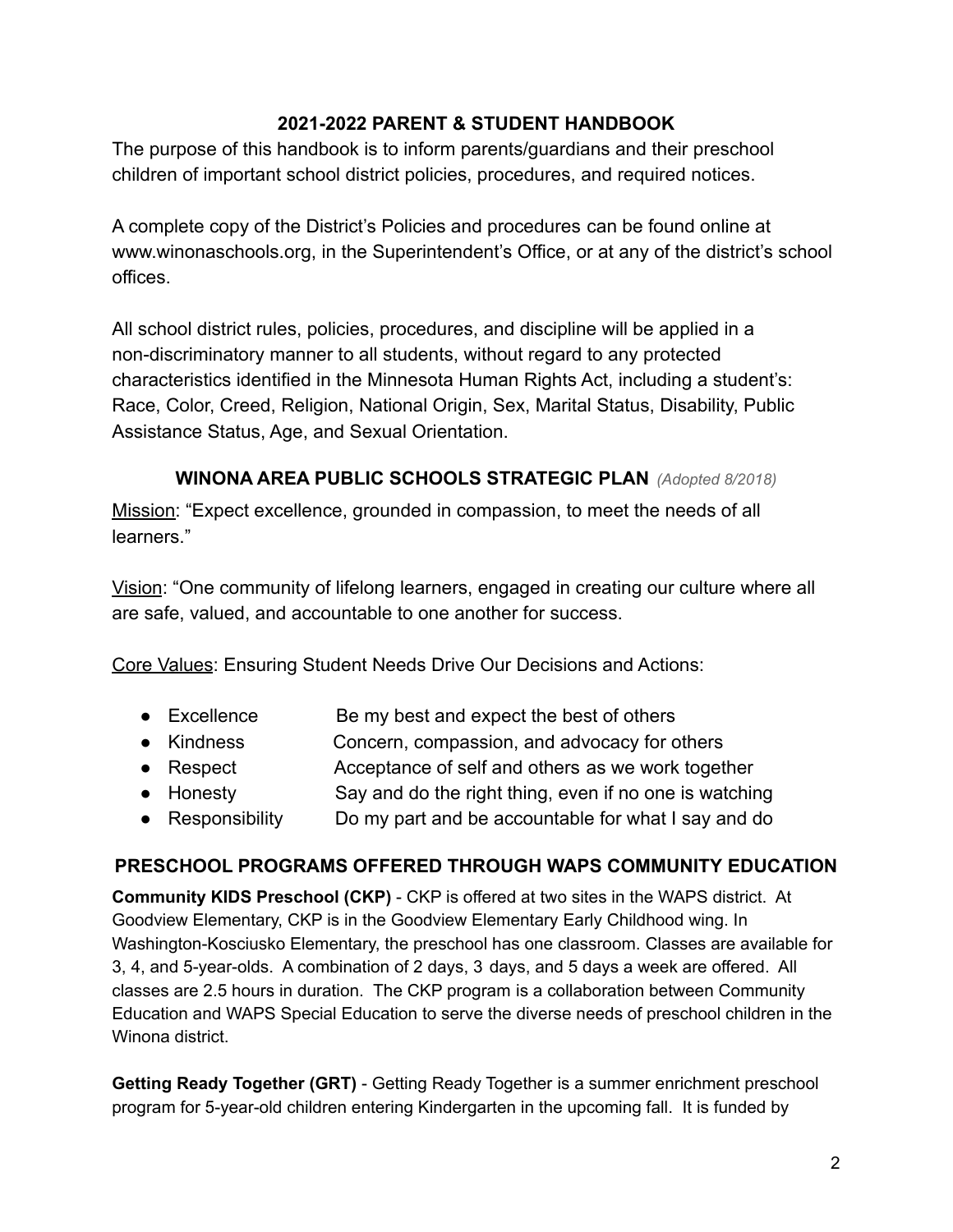#### **2021-2022 PARENT & STUDENT HANDBOOK**

The purpose of this handbook is to inform parents/guardians and their preschool children of important school district policies, procedures, and required notices.

A complete copy of the District's Policies and procedures can be found online at www.winonaschools.org, in the Superintendent's Office, or at any of the district's school offices.

All school district rules, policies, procedures, and discipline will be applied in a non-discriminatory manner to all students, without regard to any protected characteristics identified in the Minnesota Human Rights Act, including a student's: Race, Color, Creed, Religion, National Origin, Sex, Marital Status, Disability, Public Assistance Status, Age, and Sexual Orientation.

#### **WINONA AREA PUBLIC SCHOOLS STRATEGIC PLAN** *(Adopted 8/2018)*

Mission: "Expect excellence, grounded in compassion, to meet the needs of all learners."

Vision: "One community of lifelong learners, engaged in creating our culture where all are safe, valued, and accountable to one another for success.

Core Values: Ensuring Student Needs Drive Our Decisions and Actions:

- Excellence Be my best and expect the best of others
- Kindness Concern, compassion, and advocacy for others
- Respect Acceptance of self and others as we work together
- Honesty Say and do the right thing, even if no one is watching
- Responsibility Do my part and be accountable for what I say and do

## <span id="page-2-0"></span>**PRESCHOOL PROGRAMS OFFERED THROUGH WAPS COMMUNITY EDUCATION**

**Community KIDS Preschool (CKP)** - CKP is offered at two sites in the WAPS district. At Goodview Elementary, CKP is in the Goodview Elementary Early Childhood wing. In Washington-Kosciusko Elementary, the preschool has one classroom. Classes are available for 3, 4, and 5-year-olds. A combination of 2 days, 3 days, and 5 days a week are offered. All classes are 2.5 hours in duration. The CKP program is a collaboration between Community Education and WAPS Special Education to serve the diverse needs of preschool children in the Winona district.

**Getting Ready Together (GRT)** - Getting Ready Together is a summer enrichment preschool program for 5-year-old children entering Kindergarten in the upcoming fall. It is funded by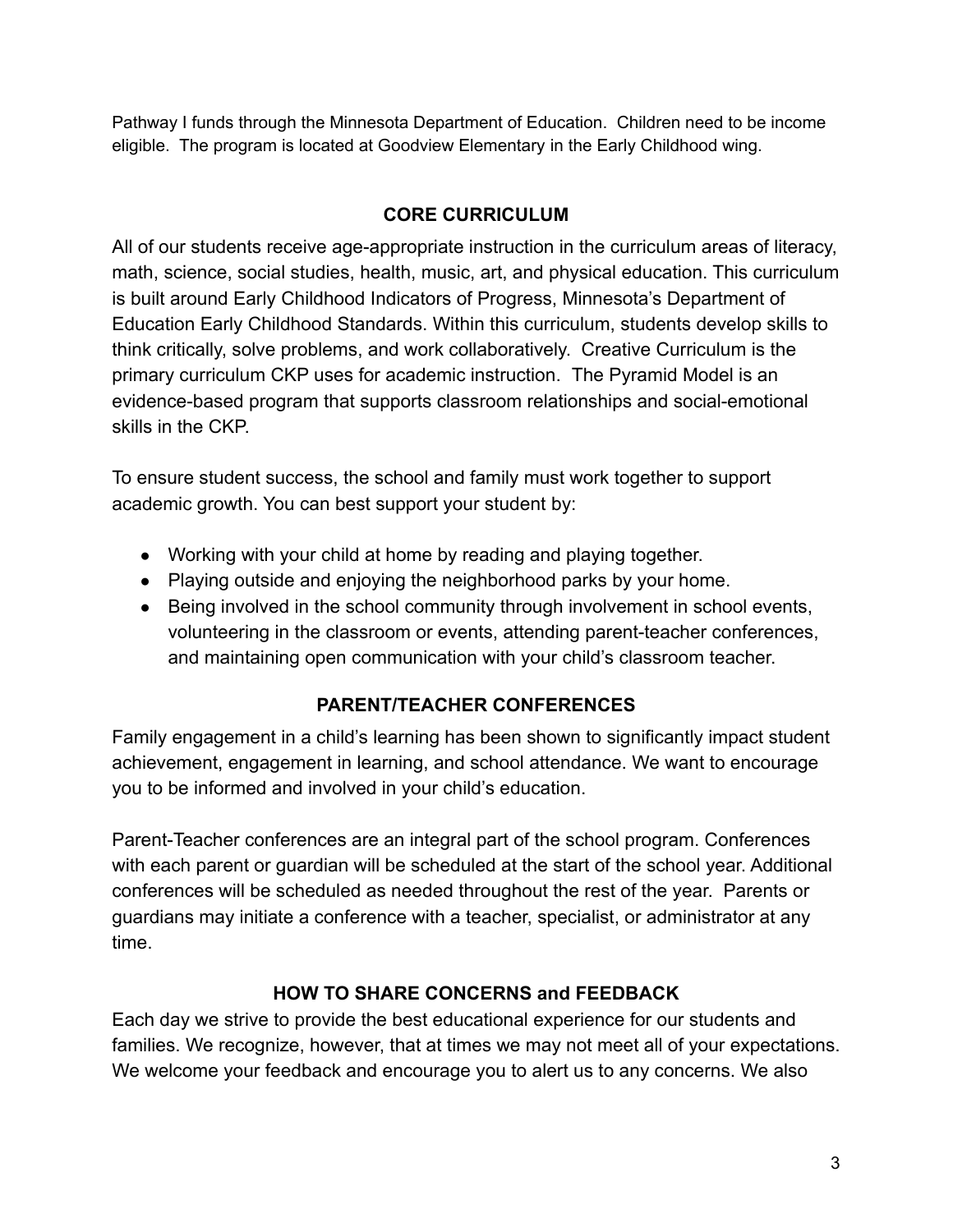Pathway I funds through the Minnesota Department of Education. Children need to be income eligible. The program is located at Goodview Elementary in the Early Childhood wing.

# **CORE CURRICULUM**

All of our students receive age-appropriate instruction in the curriculum areas of literacy, math, science, social studies, health, music, art, and physical education. This curriculum is built around Early Childhood Indicators of Progress, Minnesota's Department of Education Early Childhood Standards. Within this curriculum, students develop skills to think critically, solve problems, and work collaboratively. Creative Curriculum is the primary curriculum CKP uses for academic instruction. The Pyramid Model is an evidence-based program that supports classroom relationships and social-emotional skills in the CKP.

To ensure student success, the school and family must work together to support academic growth. You can best support your student by:

- Working with your child at home by reading and playing together.
- Playing outside and enjoying the neighborhood parks by your home.
- Being involved in the school community through involvement in school events, volunteering in the classroom or events, attending parent-teacher conferences, and maintaining open communication with your child's classroom teacher.

# **PARENT/TEACHER CONFERENCES**

Family engagement in a child's learning has been shown to significantly impact student achievement, engagement in learning, and school attendance. We want to encourage you to be informed and involved in your child's education.

Parent-Teacher conferences are an integral part of the school program. Conferences with each parent or guardian will be scheduled at the start of the school year. Additional conferences will be scheduled as needed throughout the rest of the year. Parents or guardians may initiate a conference with a teacher, specialist, or administrator at any time.

# **HOW TO SHARE CONCERNS and FEEDBACK**

Each day we strive to provide the best educational experience for our students and families. We recognize, however, that at times we may not meet all of your expectations. We welcome your feedback and encourage you to alert us to any concerns. We also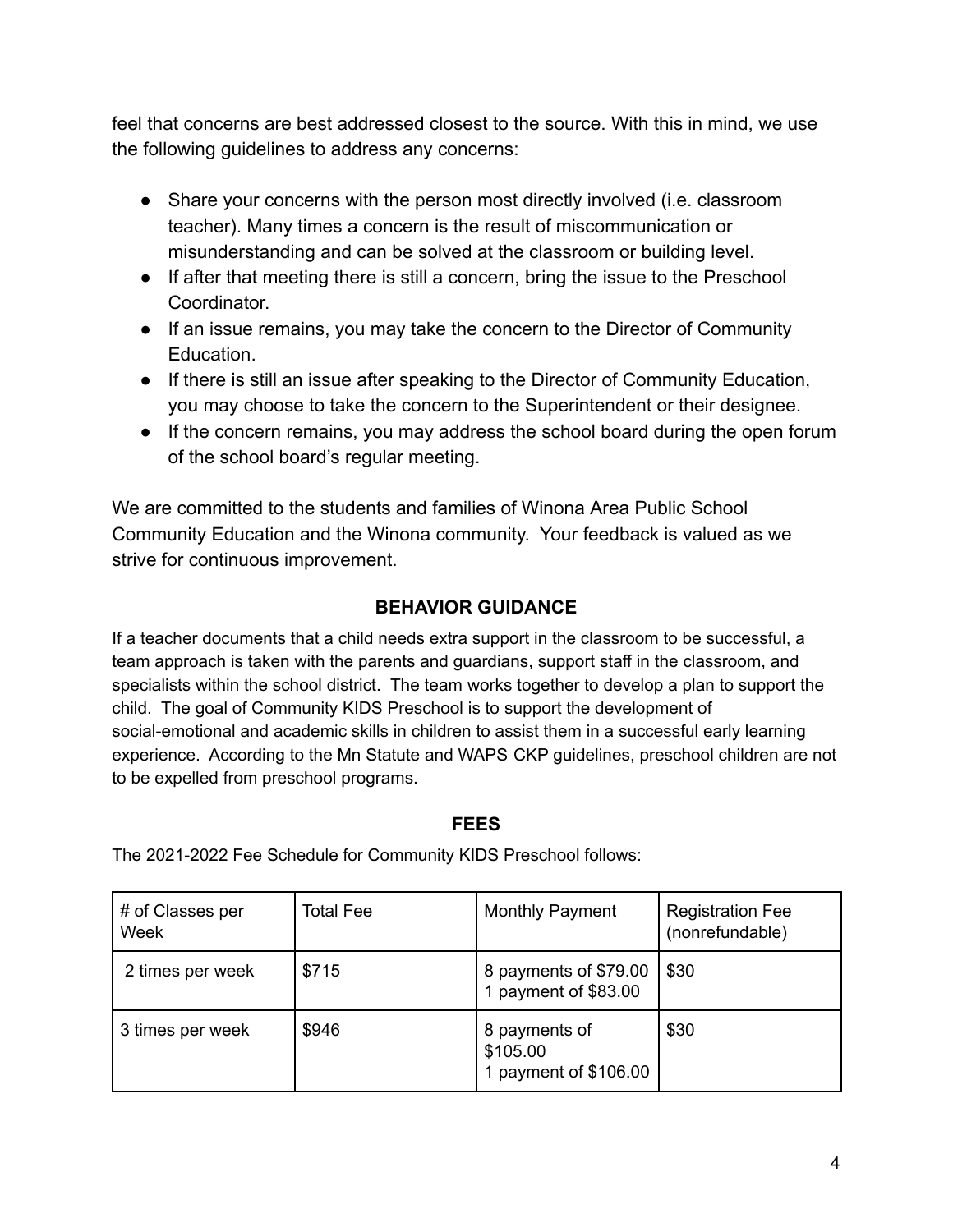feel that concerns are best addressed closest to the source. With this in mind, we use the following guidelines to address any concerns:

- Share your concerns with the person most directly involved (i.e. classroom teacher). Many times a concern is the result of miscommunication or misunderstanding and can be solved at the classroom or building level.
- If after that meeting there is still a concern, bring the issue to the Preschool **Coordinator**
- If an issue remains, you may take the concern to the Director of Community Education.
- If there is still an issue after speaking to the Director of Community Education, you may choose to take the concern to the Superintendent or their designee.
- If the concern remains, you may address the school board during the open forum of the school board's regular meeting.

We are committed to the students and families of Winona Area Public School Community Education and the Winona community. Your feedback is valued as we strive for continuous improvement.

## **BEHAVIOR GUIDANCE**

If a teacher documents that a child needs extra support in the classroom to be successful, a team approach is taken with the parents and guardians, support staff in the classroom, and specialists within the school district. The team works together to develop a plan to support the child. The goal of Community KIDS Preschool is to support the development of social-emotional and academic skills in children to assist them in a successful early learning experience. According to the Mn Statute and WAPS CKP guidelines, preschool children are not to be expelled from preschool programs.

#### **FEES**

# of Classes per Week Total Fee Monthly Payment Registration Fee (nonrefundable) 2 times per week  $\frac{1}{3715}$  8 payments of \$79.00 1 payment of \$83.00 \$30 3 times per week \$946 8 payments of \$105.00 1 payment of \$106.00 \$30

The 2021-2022 Fee Schedule for Community KIDS Preschool follows: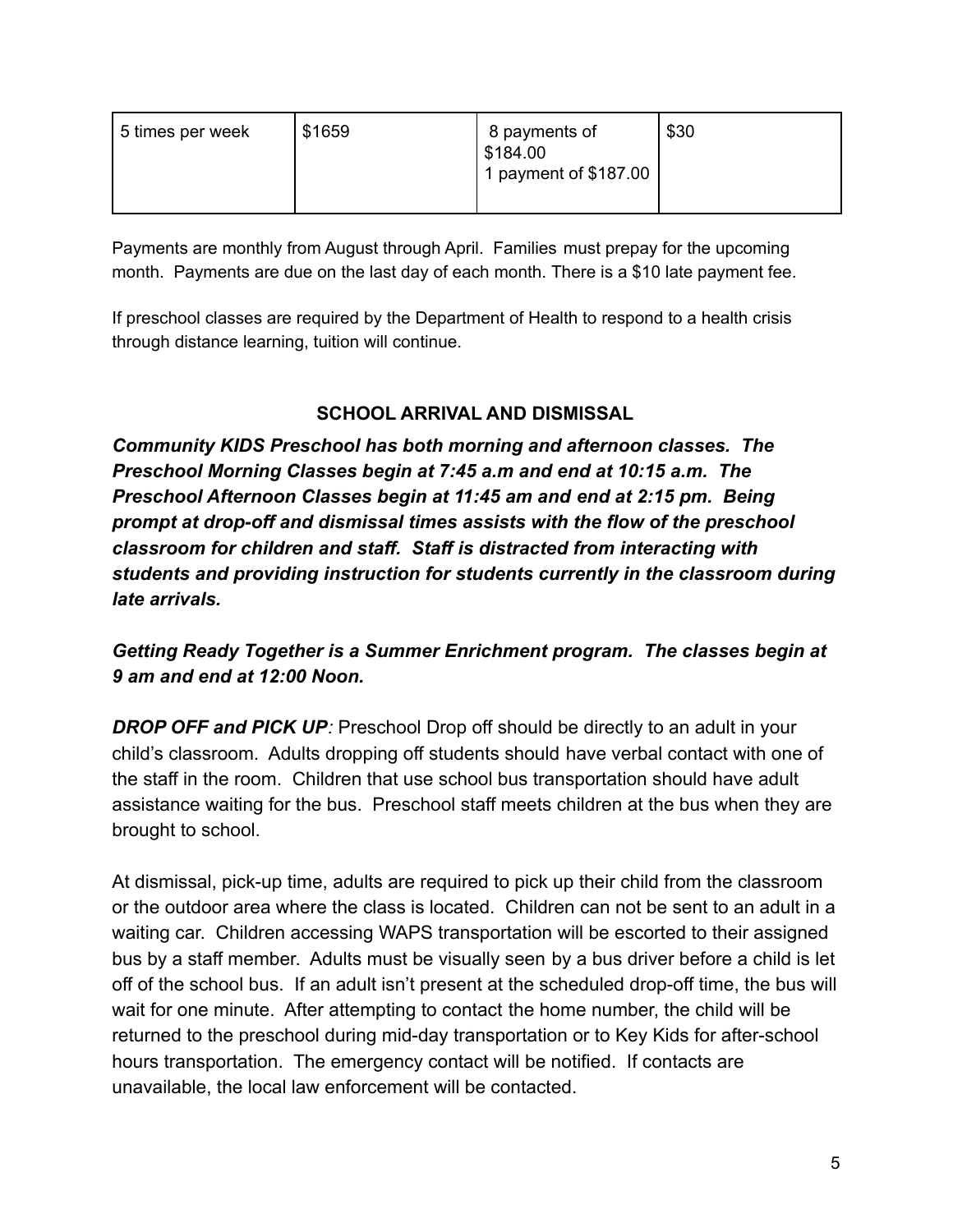| 5 times per week | \$1659 | 8 payments of<br>\$184.00<br>1 payment of $$187.00$ | \$30 |
|------------------|--------|-----------------------------------------------------|------|
|                  |        |                                                     |      |

Payments are monthly from August through April. Families must prepay for the upcoming month. Payments are due on the last day of each month. There is a \$10 late payment fee.

If preschool classes are required by the Department of Health to respond to a health crisis through distance learning, tuition will continue.

## **SCHOOL ARRIVAL AND DISMISSAL**

<span id="page-5-0"></span>*Community KIDS Preschool has both morning and afternoon classes. The Preschool Morning Classes begin at 7:45 a.m and end at 10:15 a.m. The Preschool Afternoon Classes begin at 11:45 am and end at 2:15 pm. Being prompt at drop-off and dismissal times assists with the flow of the preschool classroom for children and staff. Staff is distracted from interacting with students and providing instruction for students currently in the classroom during late arrivals.*

# *Getting Ready Together is a Summer Enrichment program. The classes begin at 9 am and end at 12:00 Noon.*

*DROP OFF and PICK UP:* Preschool Drop off should be directly to an adult in your child's classroom. Adults dropping off students should have verbal contact with one of the staff in the room. Children that use school bus transportation should have adult assistance waiting for the bus. Preschool staff meets children at the bus when they are brought to school.

At dismissal, pick-up time, adults are required to pick up their child from the classroom or the outdoor area where the class is located. Children can not be sent to an adult in a waiting car. Children accessing WAPS transportation will be escorted to their assigned bus by a staff member. Adults must be visually seen by a bus driver before a child is let off of the school bus. If an adult isn't present at the scheduled drop-off time, the bus will wait for one minute. After attempting to contact the home number, the child will be returned to the preschool during mid-day transportation or to Key Kids for after-school hours transportation. The emergency contact will be notified. If contacts are unavailable, the local law enforcement will be contacted.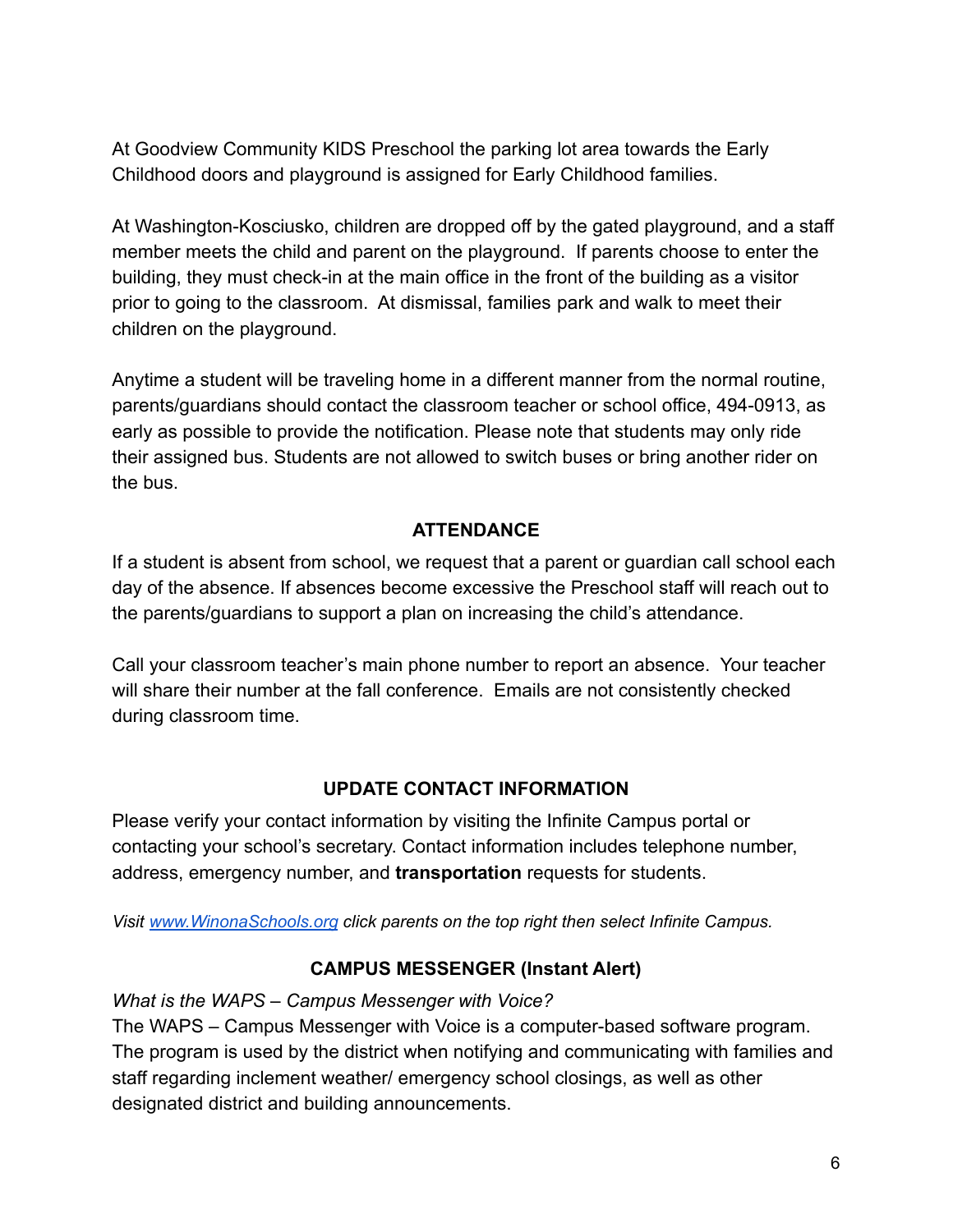At Goodview Community KIDS Preschool the parking lot area towards the Early Childhood doors and playground is assigned for Early Childhood families.

At Washington-Kosciusko, children are dropped off by the gated playground, and a staff member meets the child and parent on the playground. If parents choose to enter the building, they must check-in at the main office in the front of the building as a visitor prior to going to the classroom. At dismissal, families park and walk to meet their children on the playground.

Anytime a student will be traveling home in a different manner from the normal routine, parents/guardians should contact the classroom teacher or school office, 494-0913, as early as possible to provide the notification. Please note that students may only ride their assigned bus. Students are not allowed to switch buses or bring another rider on the bus.

#### **ATTENDANCE**

<span id="page-6-0"></span>If a student is absent from school, we request that a parent or guardian call school each day of the absence. If absences become excessive the Preschool staff will reach out to the parents/guardians to support a plan on increasing the child's attendance.

Call your classroom teacher's main phone number to report an absence. Your teacher will share their number at the fall conference. Emails are not consistently checked during classroom time.

#### **UPDATE CONTACT INFORMATION**

Please verify your contact information by visiting the Infinite Campus portal or contacting your school's secretary. Contact information includes telephone number, address, emergency number, and **transportation** requests for students.

<span id="page-6-1"></span>*Visit [www.WinonaSchools.org](http://www.winonaschools.org) click parents on the top right then select Infinite Campus.*

#### **CAMPUS MESSENGER (Instant Alert)**

*What is the WAPS – Campus Messenger with Voice?*

The WAPS – Campus Messenger with Voice is a computer-based software program. The program is used by the district when notifying and communicating with families and staff regarding inclement weather/ emergency school closings, as well as other designated district and building announcements.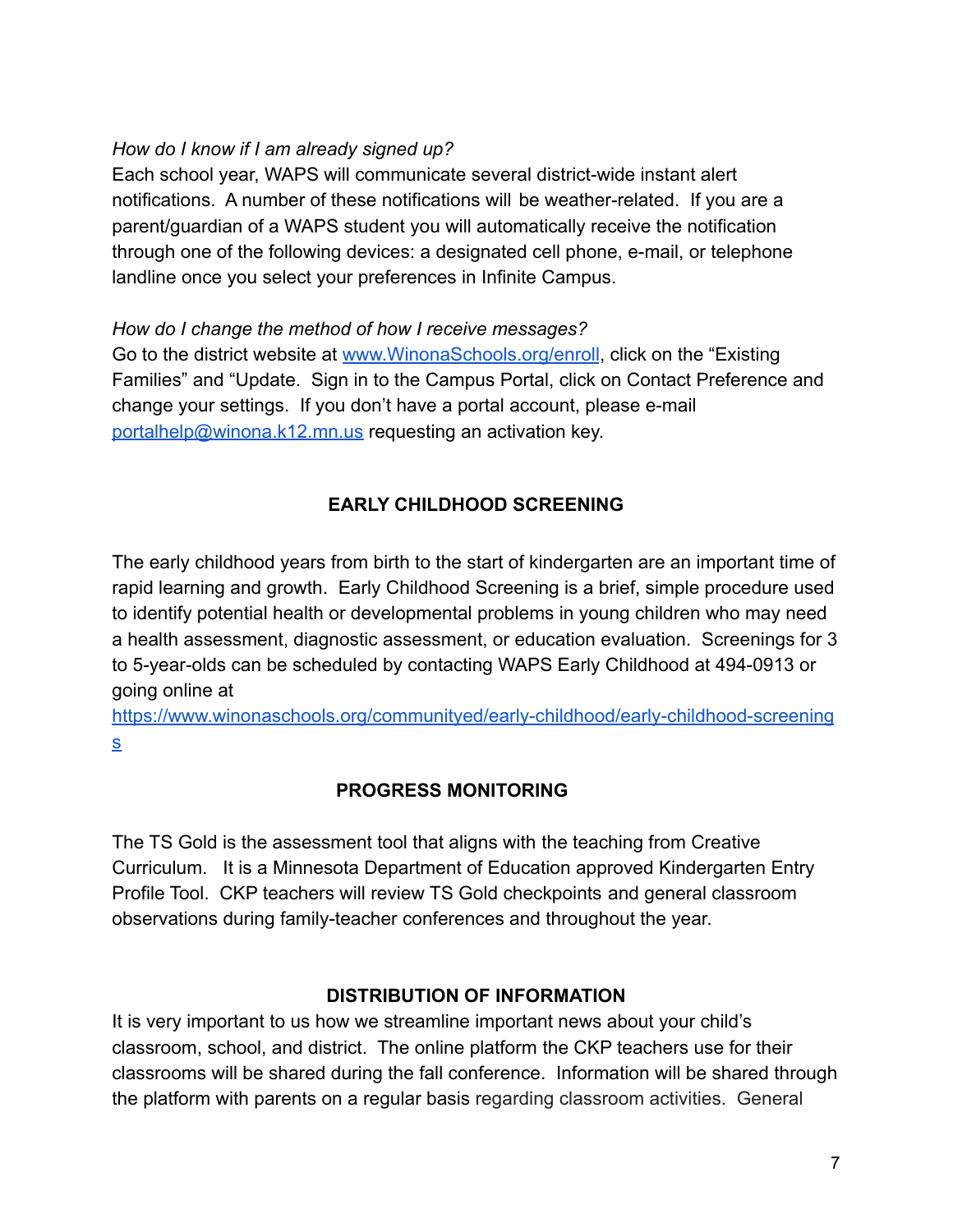#### *How do I know if I am already signed up?*

Each school year, WAPS will communicate several district-wide instant alert notifications. A number of these notifications will be weather-related. If you are a parent/guardian of a WAPS student you will automatically receive the notification through one of the following devices: a designated cell phone, e-mail, or telephone landline once you select your preferences in Infinite Campus.

*How do I change the method of how I receive messages?* Go to the district website at [www.WinonaSchools.org/enroll](http://www.winonaschools.org/enroll), click on the "Existing Families" and "Update. Sign in to the Campus Portal, click on Contact Preference and change your settings. If you don't have a portal account, please e-mail [portalhelp@winona.k12.mn.us](mailto:portalhelp@winona.k12.mn.us) requesting an activation key.

# **EARLY CHILDHOOD SCREENING**

The early childhood years from birth to the start of kindergarten are an important time of rapid learning and growth. Early Childhood Screening is a brief, simple procedure used to identify potential health or developmental problems in young children who may need a health assessment, diagnostic assessment, or education evaluation. Screenings for 3 to 5-year-olds can be scheduled by contacting WAPS Early Childhood at 494-0913 or going online at

[https://www.winonaschools.org/communityed/early-childhood/early-childhood-screening](https://www.winonaschools.org/communityed/early-childhood/early-childhood-screenings) [s](https://www.winonaschools.org/communityed/early-childhood/early-childhood-screenings)

## **PROGRESS MONITORING**

The TS Gold is the assessment tool that aligns with the teaching from Creative Curriculum. It is a Minnesota Department of Education approved Kindergarten Entry Profile Tool. CKP teachers will review TS Gold checkpoints and general classroom observations during family-teacher conferences and throughout the year.

#### **DISTRIBUTION OF INFORMATION**

It is very important to us how we streamline important news about your child's classroom, school, and district. The online platform the CKP teachers use for their classrooms will be shared during the fall conference. Information will be shared through the platform with parents on a regular basis regarding classroom activities. General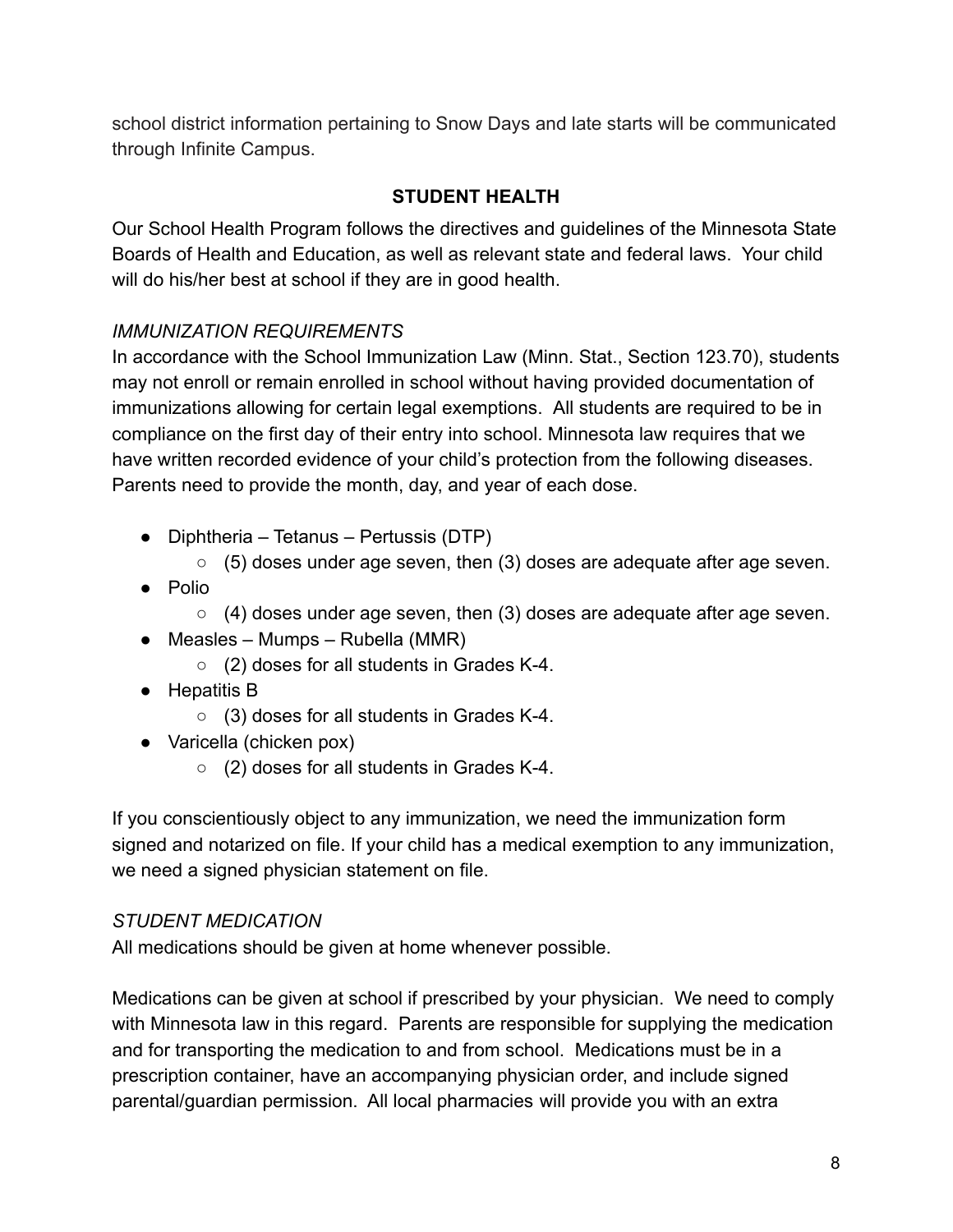<span id="page-8-0"></span>school district information pertaining to Snow Days and late starts will be communicated through Infinite Campus.

# **STUDENT HEALTH**

Our School Health Program follows the directives and guidelines of the Minnesota State Boards of Health and Education, as well as relevant state and federal laws. Your child will do his/her best at school if they are in good health.

# *IMMUNIZATION REQUIREMENTS*

In accordance with the School Immunization Law (Minn. Stat., Section 123.70), students may not enroll or remain enrolled in school without having provided documentation of immunizations allowing for certain legal exemptions. All students are required to be in compliance on the first day of their entry into school. Minnesota law requires that we have written recorded evidence of your child's protection from the following diseases. Parents need to provide the month, day, and year of each dose.

- Diphtheria Tetanus Pertussis (DTP)
	- $\circ$  (5) doses under age seven, then (3) doses are adequate after age seven.
- Polio
	- $\circ$  (4) doses under age seven, then (3) doses are adequate after age seven.
- $\bullet$  Measles Mumps Rubella (MMR)
	- (2) doses for all students in Grades K-4.
- Hepatitis B
	- $\circ$  (3) doses for all students in Grades K-4.
- Varicella (chicken pox)
	- (2) doses for all students in Grades K-4.

If you conscientiously object to any immunization, we need the immunization form signed and notarized on file. If your child has a medical exemption to any immunization, we need a signed physician statement on file.

## *STUDENT MEDICATION*

All medications should be given at home whenever possible.

Medications can be given at school if prescribed by your physician. We need to comply with Minnesota law in this regard. Parents are responsible for supplying the medication and for transporting the medication to and from school. Medications must be in a prescription container, have an accompanying physician order, and include signed parental/guardian permission. All local pharmacies will provide you with an extra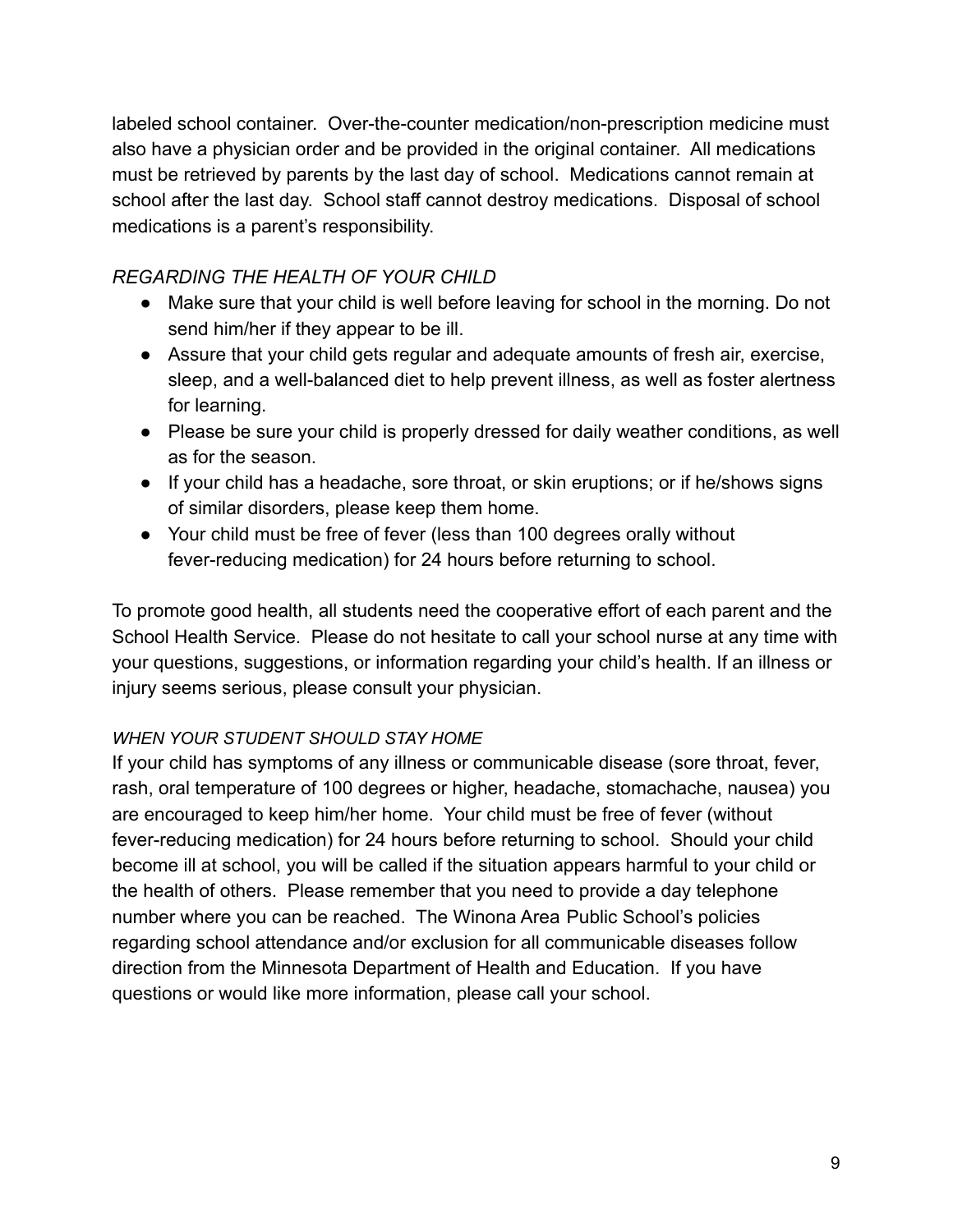labeled school container. Over-the-counter medication/non-prescription medicine must also have a physician order and be provided in the original container. All medications must be retrieved by parents by the last day of school. Medications cannot remain at school after the last day. School staff cannot destroy medications. Disposal of school medications is a parent's responsibility.

# *REGARDING THE HEALTH OF YOUR CHILD*

- Make sure that your child is well before leaving for school in the morning. Do not send him/her if they appear to be ill.
- Assure that your child gets regular and adequate amounts of fresh air, exercise, sleep, and a well-balanced diet to help prevent illness, as well as foster alertness for learning.
- Please be sure your child is properly dressed for daily weather conditions, as well as for the season.
- If your child has a headache, sore throat, or skin eruptions; or if he/shows signs of similar disorders, please keep them home.
- Your child must be free of fever (less than 100 degrees orally without fever-reducing medication) for 24 hours before returning to school.

To promote good health, all students need the cooperative effort of each parent and the School Health Service. Please do not hesitate to call your school nurse at any time with your questions, suggestions, or information regarding your child's health. If an illness or injury seems serious, please consult your physician.

## *WHEN YOUR STUDENT SHOULD STAY HOME*

If your child has symptoms of any illness or communicable disease (sore throat, fever, rash, oral temperature of 100 degrees or higher, headache, stomachache, nausea) you are encouraged to keep him/her home. Your child must be free of fever (without fever-reducing medication) for 24 hours before returning to school. Should your child become ill at school, you will be called if the situation appears harmful to your child or the health of others. Please remember that you need to provide a day telephone number where you can be reached. The Winona Area Public School's policies regarding school attendance and/or exclusion for all communicable diseases follow direction from the Minnesota Department of Health and Education. If you have questions or would like more information, please call your school.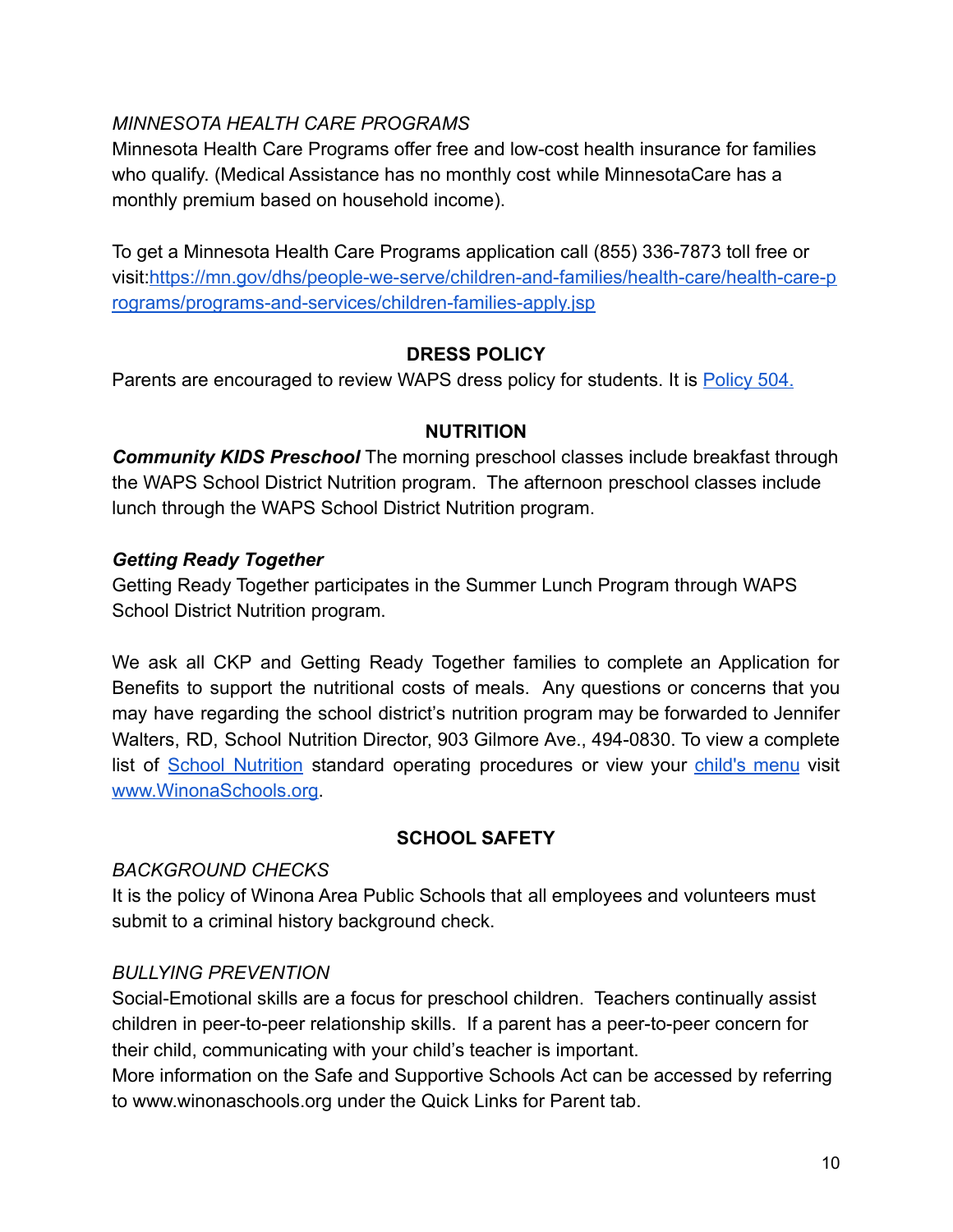## *MINNESOTA HEALTH CARE PROGRAMS*

Minnesota Health Care Programs offer free and low-cost health insurance for families who qualify. (Medical Assistance has no monthly cost while MinnesotaCare has a monthly premium based on household income).

To get a Minnesota Health Care Programs application call (855) 336-7873 toll free or visit:[https://mn.gov/dhs/people-we-serve/children-and-families/health-care/health-care-p](https://mn.gov/dhs/people-we-serve/children-and-families/health-care/health-care-programs/programs-and-services/children-families-apply.jsp) [rograms/programs-and-services/children-families-apply.jsp](https://mn.gov/dhs/people-we-serve/children-and-families/health-care/health-care-programs/programs-and-services/children-families-apply.jsp)

#### **DRESS POLICY**

Parents are encouraged to review WAPS dress policy for students. It is [Policy 504.](https://go.boarddocs.com/mn/winona/Board.nsf/public#)

#### **NUTRITION**

*Community KIDS Preschool* The morning preschool classes include breakfast through the WAPS School District Nutrition program. The afternoon preschool classes include lunch through the WAPS School District Nutrition program.

#### *Getting Ready Together*

Getting Ready Together participates in the Summer Lunch Program through WAPS School District Nutrition program.

We ask all CKP and Getting Ready Together families to complete an Application for Benefits to support the nutritional costs of meals. Any questions or concerns that you may have regarding the school district's nutrition program may be forwarded to Jennifer Walters, RD, School Nutrition Director, 903 Gilmore Ave., 494-0830. To view a complete list of School [Nutrition](https://www.winonaschools.org/district/departments/school-nutrition) standard operating procedures or view your [child's](http://cdn.myschoolmenus.com/instance/2035191/district/21.html) menu visit [www.WinonaSchools.org.](http://www.winonaschools.org)

#### **SCHOOL SAFETY**

#### <span id="page-10-0"></span>*BACKGROUND CHECKS*

It is the policy of Winona Area Public Schools that all employees and volunteers must submit to a criminal history background check.

## *BULLYING PREVENTION*

Social-Emotional skills are a focus for preschool children. Teachers continually assist children in peer-to-peer relationship skills. If a parent has a peer-to-peer concern for their child, communicating with your child's teacher is important.

More information on the Safe and Supportive Schools Act can be accessed by referring to www.winonaschools.org under the Quick Links for Parent tab.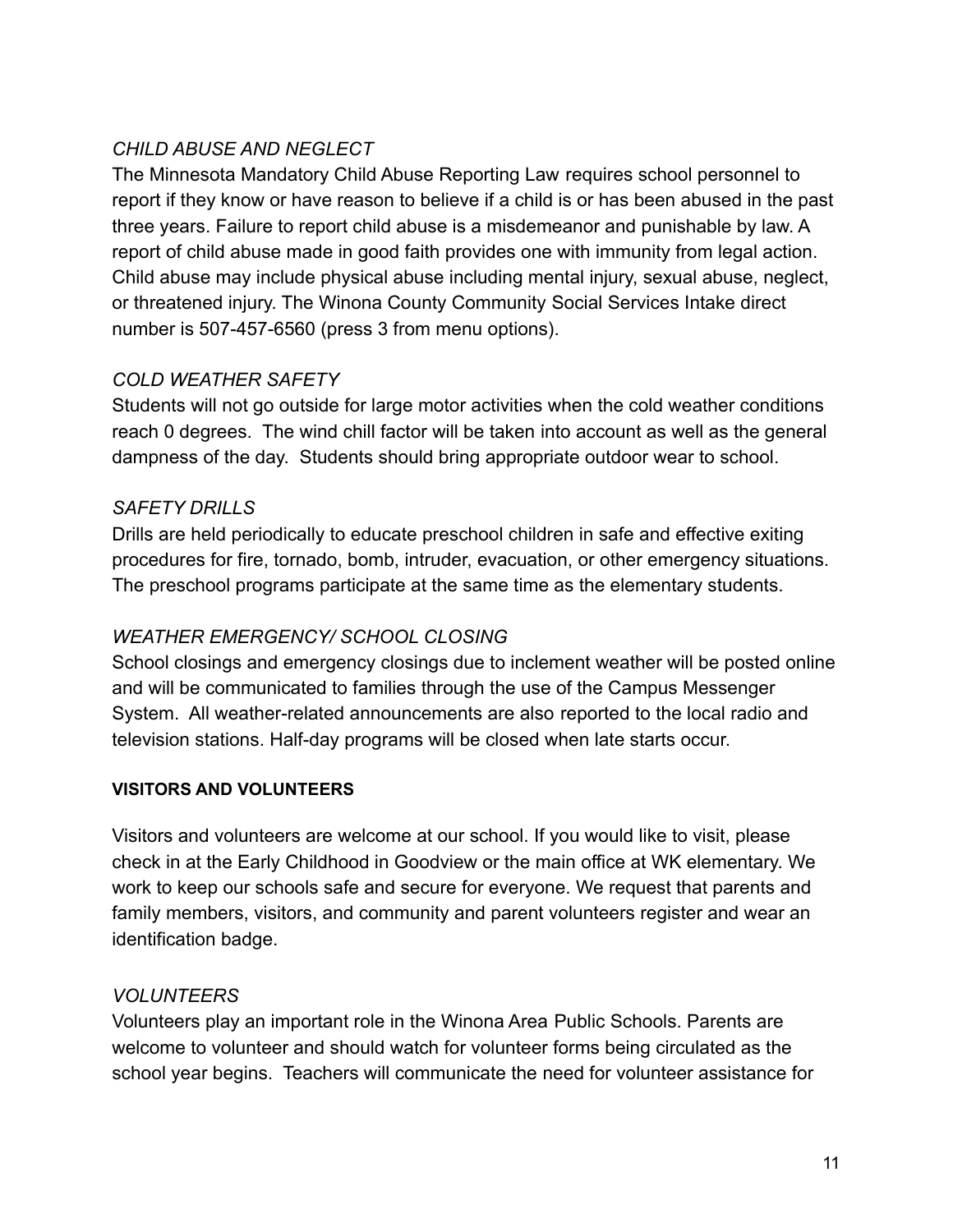# *CHILD ABUSE AND NEGLECT*

The Minnesota Mandatory Child Abuse Reporting Law requires school personnel to report if they know or have reason to believe if a child is or has been abused in the past three years. Failure to report child abuse is a misdemeanor and punishable by law. A report of child abuse made in good faith provides one with immunity from legal action. Child abuse may include physical abuse including mental injury, sexual abuse, neglect, or threatened injury. The Winona County Community Social Services Intake direct number is 507-457-6560 (press 3 from menu options).

## *COLD WEATHER SAFETY*

Students will not go outside for large motor activities when the cold weather conditions reach 0 degrees. The wind chill factor will be taken into account as well as the general dampness of the day. Students should bring appropriate outdoor wear to school.

## *SAFETY DRILLS*

Drills are held periodically to educate preschool children in safe and effective exiting procedures for fire, tornado, bomb, intruder, evacuation, or other emergency situations. The preschool programs participate at the same time as the elementary students.

## *WEATHER EMERGENCY/ SCHOOL CLOSING*

School closings and emergency closings due to inclement weather will be posted online and will be communicated to families through the use of the Campus Messenger System. All weather-related announcements are also reported to the local radio and television stations. Half-day programs will be closed when late starts occur.

## **VISITORS AND VOLUNTEERS**

Visitors and volunteers are welcome at our school. If you would like to visit, please check in at the Early Childhood in Goodview or the main office at WK elementary. We work to keep our schools safe and secure for everyone. We request that parents and family members, visitors, and community and parent volunteers register and wear an identification badge.

## *VOLUNTEERS*

Volunteers play an important role in the Winona Area Public Schools. Parents are welcome to volunteer and should watch for volunteer forms being circulated as the school year begins. Teachers will communicate the need for volunteer assistance for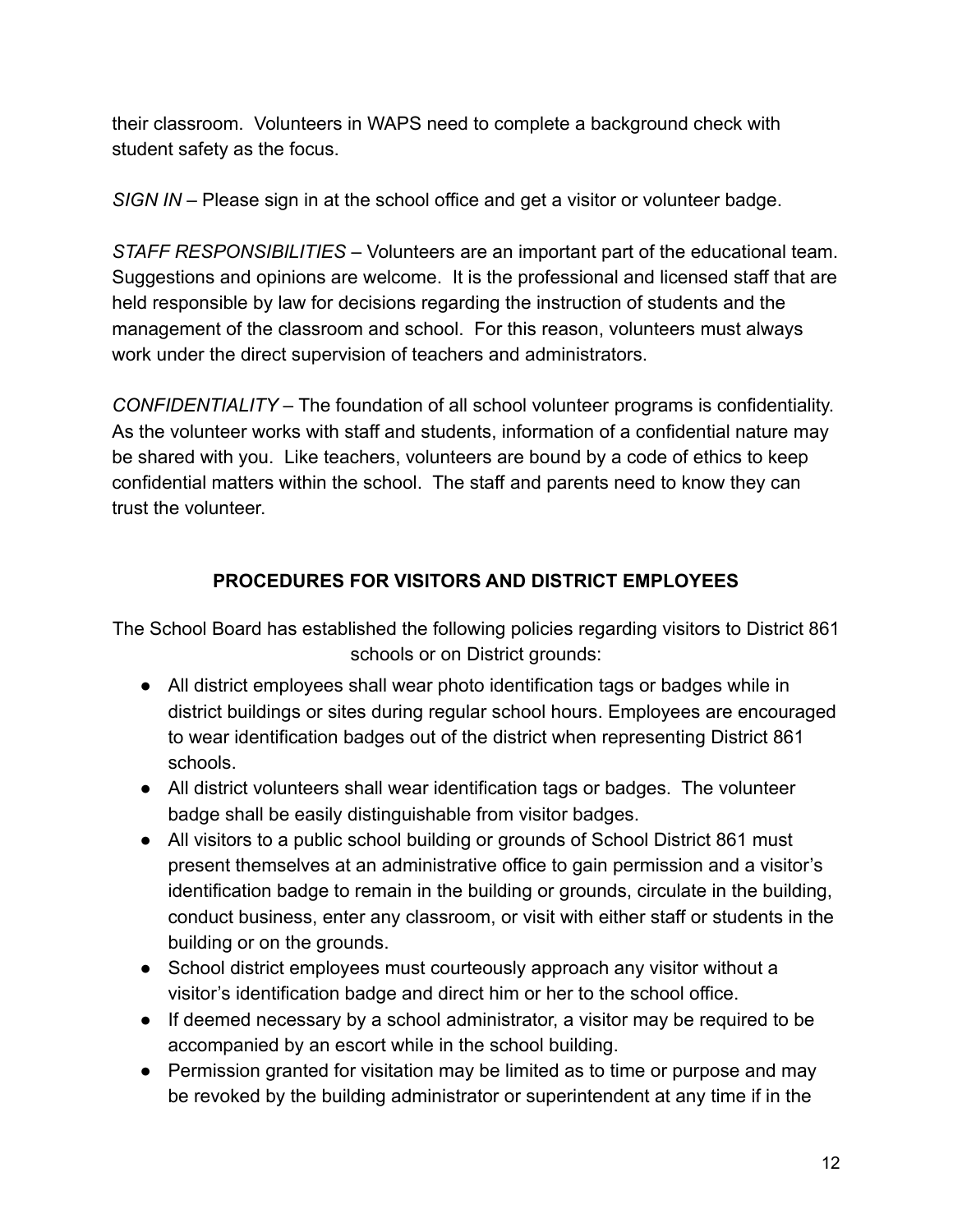their classroom. Volunteers in WAPS need to complete a background check with student safety as the focus.

*SIGN IN* – Please sign in at the school office and get a visitor or volunteer badge.

*STAFF RESPONSIBILITIES* – Volunteers are an important part of the educational team. Suggestions and opinions are welcome. It is the professional and licensed staff that are held responsible by law for decisions regarding the instruction of students and the management of the classroom and school. For this reason, volunteers must always work under the direct supervision of teachers and administrators.

*CONFIDENTIALITY* – The foundation of all school volunteer programs is confidentiality. As the volunteer works with staff and students, information of a confidential nature may be shared with you. Like teachers, volunteers are bound by a code of ethics to keep confidential matters within the school. The staff and parents need to know they can trust the volunteer.

# **PROCEDURES FOR VISITORS AND DISTRICT EMPLOYEES**

The School Board has established the following policies regarding visitors to District 861 schools or on District grounds:

- All district employees shall wear photo identification tags or badges while in district buildings or sites during regular school hours. Employees are encouraged to wear identification badges out of the district when representing District 861 schools.
- All district volunteers shall wear identification tags or badges. The volunteer badge shall be easily distinguishable from visitor badges.
- All visitors to a public school building or grounds of School District 861 must present themselves at an administrative office to gain permission and a visitor's identification badge to remain in the building or grounds, circulate in the building, conduct business, enter any classroom, or visit with either staff or students in the building or on the grounds.
- School district employees must courteously approach any visitor without a visitor's identification badge and direct him or her to the school office.
- If deemed necessary by a school administrator, a visitor may be required to be accompanied by an escort while in the school building.
- Permission granted for visitation may be limited as to time or purpose and may be revoked by the building administrator or superintendent at any time if in the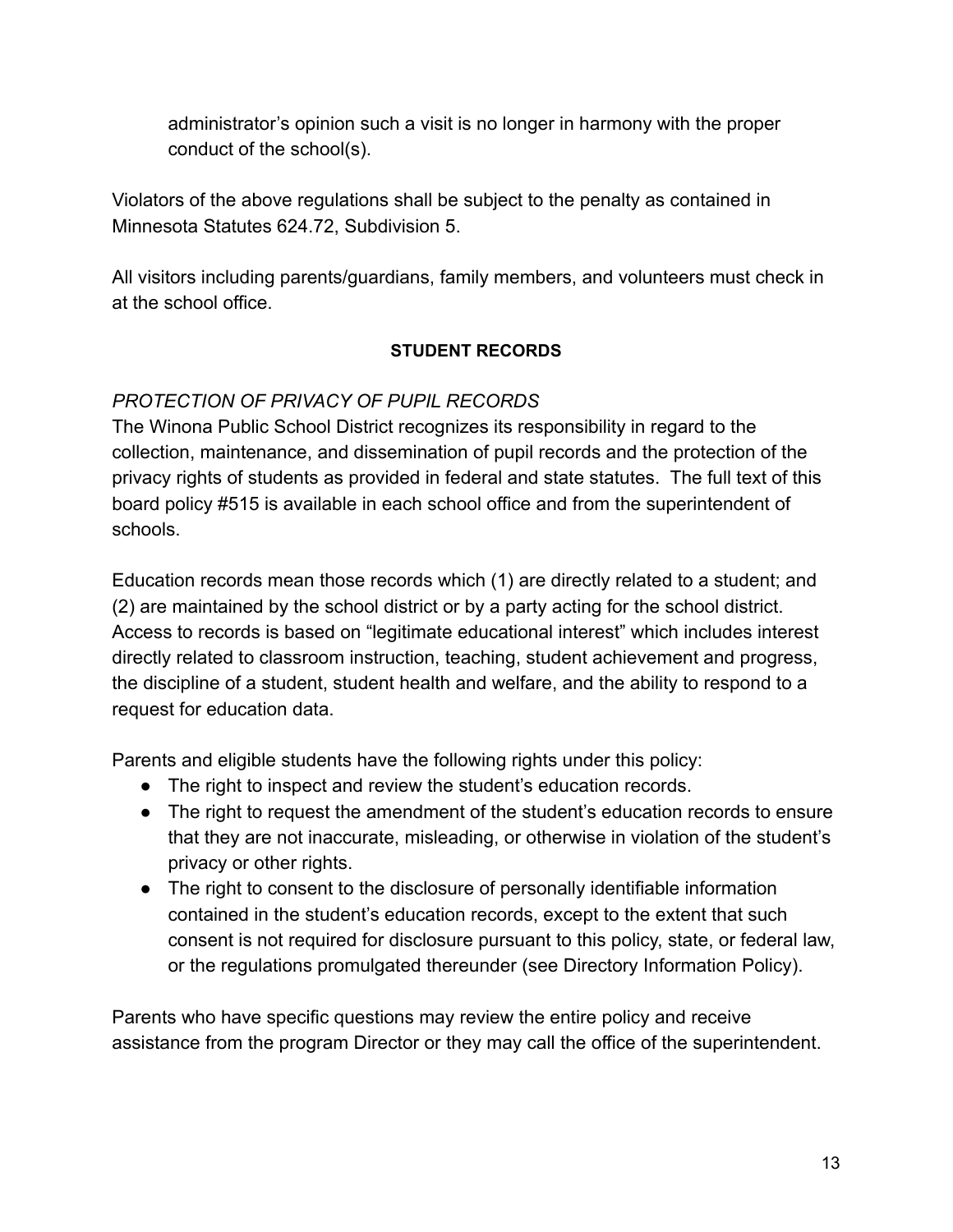administrator's opinion such a visit is no longer in harmony with the proper conduct of the school(s).

Violators of the above regulations shall be subject to the penalty as contained in Minnesota Statutes 624.72, Subdivision 5.

All visitors including parents/guardians, family members, and volunteers must check in at the school office.

## **STUDENT RECORDS**

# *PROTECTION OF PRIVACY OF PUPIL RECORDS*

The Winona Public School District recognizes its responsibility in regard to the collection, maintenance, and dissemination of pupil records and the protection of the privacy rights of students as provided in federal and state statutes. The full text of this board policy #515 is available in each school office and from the superintendent of schools.

Education records mean those records which (1) are directly related to a student; and (2) are maintained by the school district or by a party acting for the school district. Access to records is based on "legitimate educational interest" which includes interest directly related to classroom instruction, teaching, student achievement and progress, the discipline of a student, student health and welfare, and the ability to respond to a request for education data.

Parents and eligible students have the following rights under this policy:

- The right to inspect and review the student's education records.
- The right to request the amendment of the student's education records to ensure that they are not inaccurate, misleading, or otherwise in violation of the student's privacy or other rights.
- The right to consent to the disclosure of personally identifiable information contained in the student's education records, except to the extent that such consent is not required for disclosure pursuant to this policy, state, or federal law, or the regulations promulgated thereunder (see Directory Information Policy).

Parents who have specific questions may review the entire policy and receive assistance from the program Director or they may call the office of the superintendent.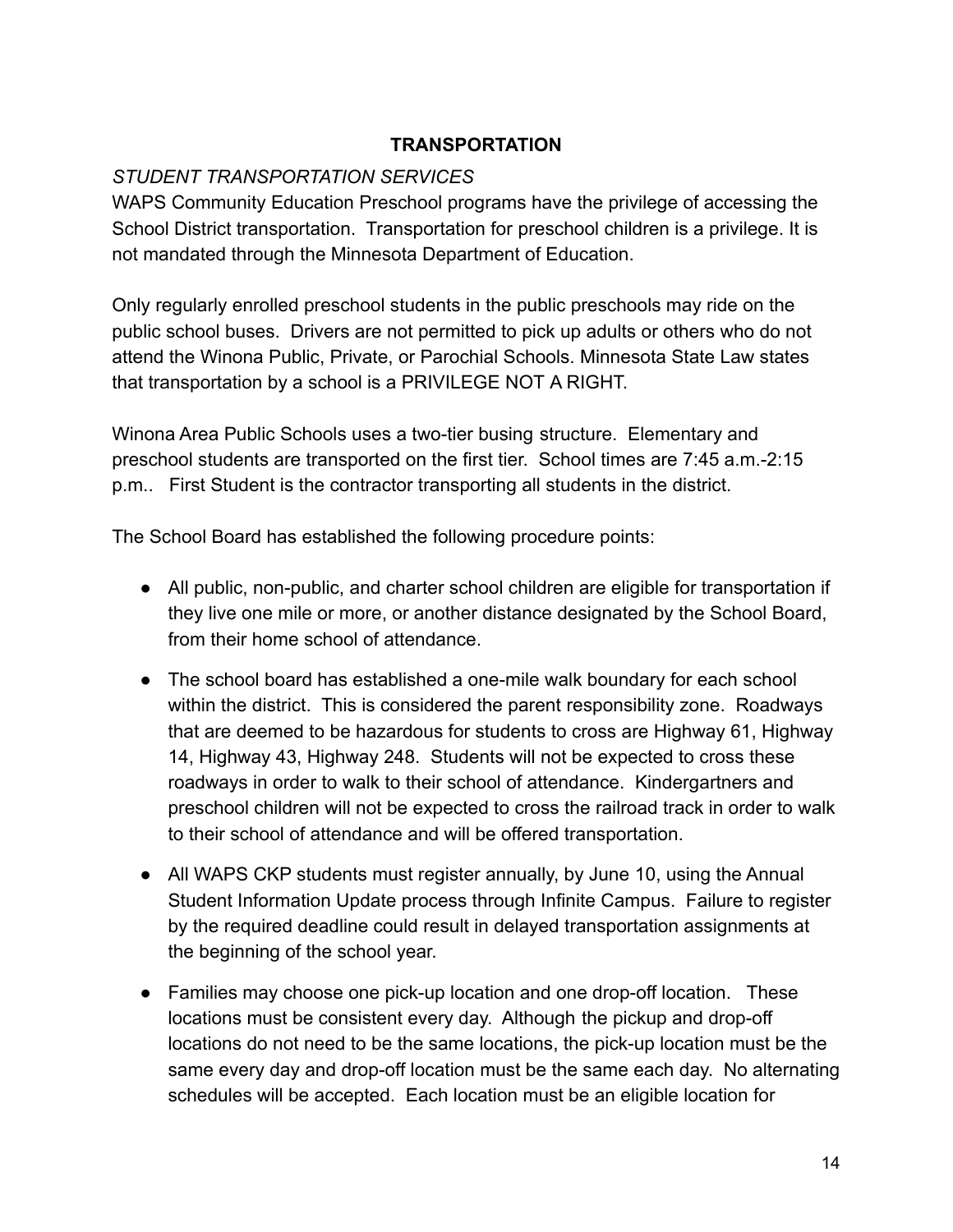#### **TRANSPORTATION**

#### *STUDENT TRANSPORTATION SERVICES*

WAPS Community Education Preschool programs have the privilege of accessing the School District transportation. Transportation for preschool children is a privilege. It is not mandated through the Minnesota Department of Education.

Only regularly enrolled preschool students in the public preschools may ride on the public school buses. Drivers are not permitted to pick up adults or others who do not attend the Winona Public, Private, or Parochial Schools. Minnesota State Law states that transportation by a school is a PRIVILEGE NOT A RIGHT.

Winona Area Public Schools uses a two-tier busing structure. Elementary and preschool students are transported on the first tier. School times are 7:45 a.m.-2:15 p.m.. First Student is the contractor transporting all students in the district.

The School Board has established the following procedure points:

- All public, non-public, and charter school children are eligible for transportation if they live one mile or more, or another distance designated by the School Board, from their home school of attendance.
- The school board has established a one-mile walk boundary for each school within the district. This is considered the parent responsibility zone. Roadways that are deemed to be hazardous for students to cross are Highway 61, Highway 14, Highway 43, Highway 248. Students will not be expected to cross these roadways in order to walk to their school of attendance. Kindergartners and preschool children will not be expected to cross the railroad track in order to walk to their school of attendance and will be offered transportation.
- All WAPS CKP students must register annually, by June 10, using the Annual Student Information Update process through Infinite Campus. Failure to register by the required deadline could result in delayed transportation assignments at the beginning of the school year.
- Families may choose one pick-up location and one drop-off location. These locations must be consistent every day. Although the pickup and drop-off locations do not need to be the same locations, the pick-up location must be the same every day and drop-off location must be the same each day. No alternating schedules will be accepted. Each location must be an eligible location for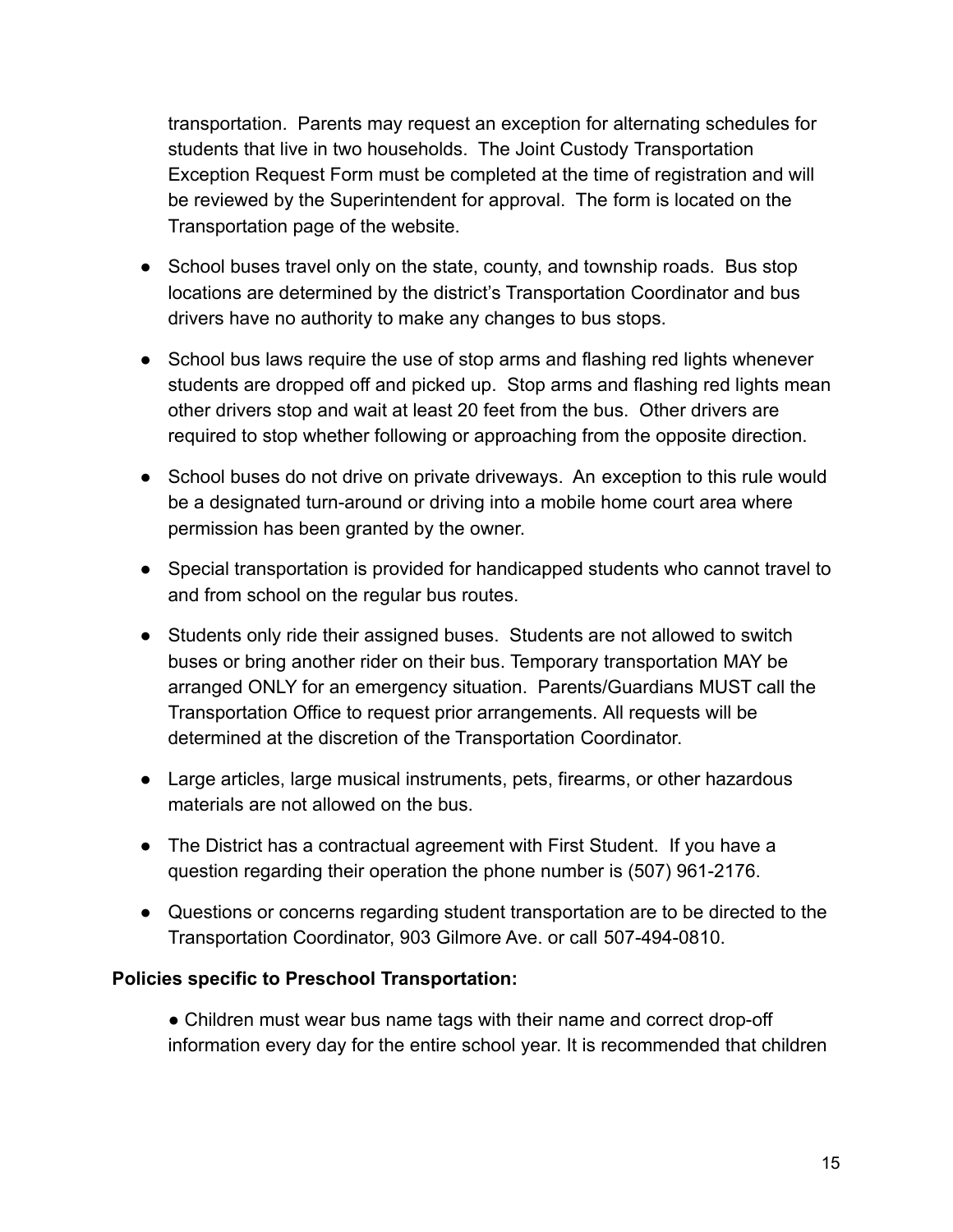transportation. Parents may request an exception for alternating schedules for students that live in two households. The Joint Custody Transportation Exception Request Form must be completed at the time of registration and will be reviewed by the Superintendent for approval. The form is located on the Transportation page of the website.

- School buses travel only on the state, county, and township roads. Bus stop locations are determined by the district's Transportation Coordinator and bus drivers have no authority to make any changes to bus stops.
- School bus laws require the use of stop arms and flashing red lights whenever students are dropped off and picked up. Stop arms and flashing red lights mean other drivers stop and wait at least 20 feet from the bus. Other drivers are required to stop whether following or approaching from the opposite direction.
- School buses do not drive on private driveways. An exception to this rule would be a designated turn-around or driving into a mobile home court area where permission has been granted by the owner.
- Special transportation is provided for handicapped students who cannot travel to and from school on the regular bus routes.
- Students only ride their assigned buses. Students are not allowed to switch buses or bring another rider on their bus. Temporary transportation MAY be arranged ONLY for an emergency situation. Parents/Guardians MUST call the Transportation Office to request prior arrangements. All requests will be determined at the discretion of the Transportation Coordinator.
- Large articles, large musical instruments, pets, firearms, or other hazardous materials are not allowed on the bus.
- The District has a contractual agreement with First Student. If you have a question regarding their operation the phone number is (507) 961-2176.
- Questions or concerns regarding student transportation are to be directed to the Transportation Coordinator, 903 Gilmore Ave. or call 507-494-0810.

#### **Policies specific to Preschool Transportation:**

• Children must wear bus name tags with their name and correct drop-off information every day for the entire school year. It is recommended that children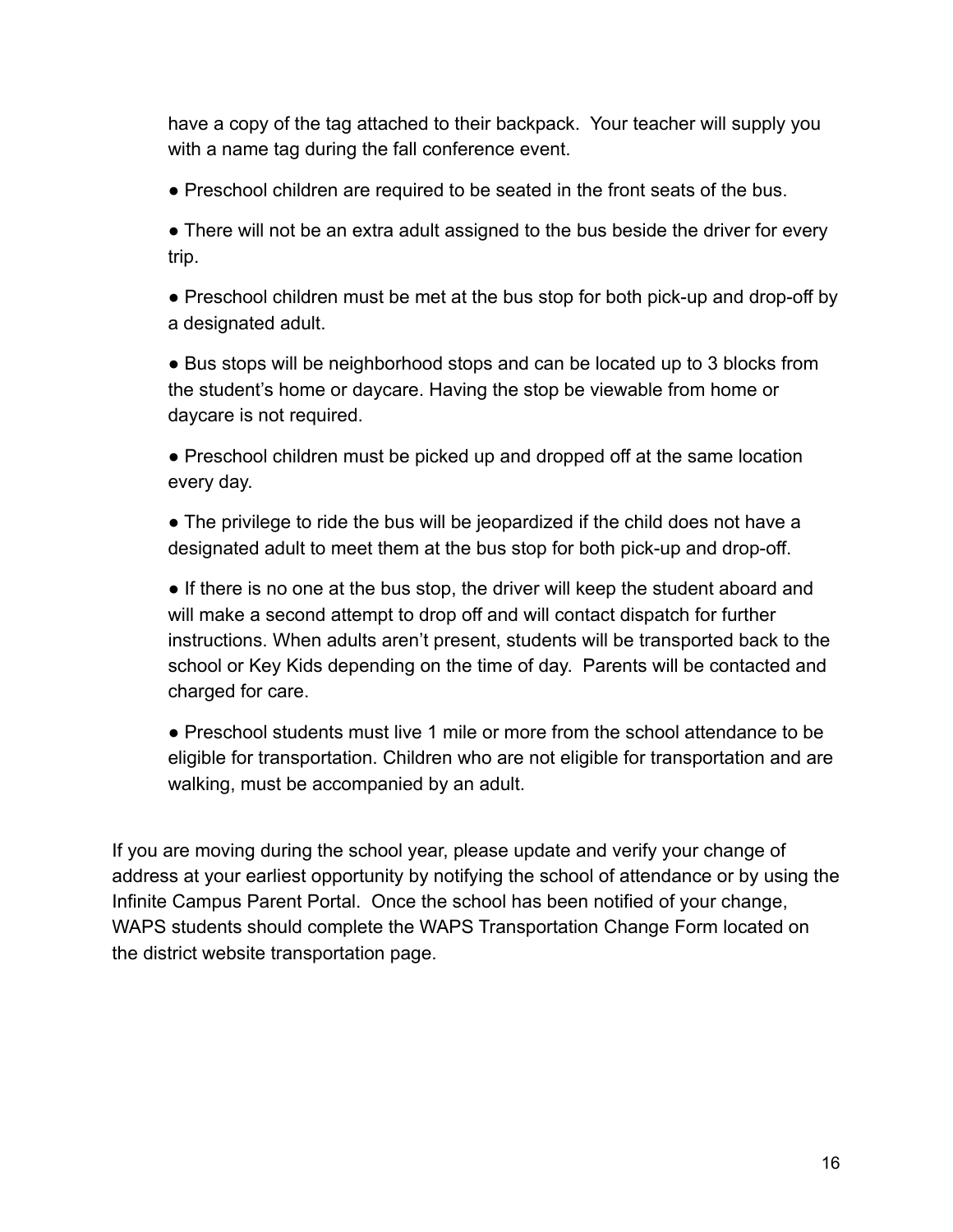have a copy of the tag attached to their backpack. Your teacher will supply you with a name tag during the fall conference event.

● Preschool children are required to be seated in the front seats of the bus.

• There will not be an extra adult assigned to the bus beside the driver for every trip.

● Preschool children must be met at the bus stop for both pick-up and drop-off by a designated adult.

● Bus stops will be neighborhood stops and can be located up to 3 blocks from the student's home or daycare. Having the stop be viewable from home or daycare is not required.

• Preschool children must be picked up and dropped off at the same location every day.

● The privilege to ride the bus will be jeopardized if the child does not have a designated adult to meet them at the bus stop for both pick-up and drop-off.

• If there is no one at the bus stop, the driver will keep the student aboard and will make a second attempt to drop off and will contact dispatch for further instructions. When adults aren't present, students will be transported back to the school or Key Kids depending on the time of day. Parents will be contacted and charged for care.

● Preschool students must live 1 mile or more from the school attendance to be eligible for transportation. Children who are not eligible for transportation and are walking, must be accompanied by an adult.

If you are moving during the school year, please update and verify your change of address at your earliest opportunity by notifying the school of attendance or by using the Infinite Campus Parent Portal. Once the school has been notified of your change, WAPS students should complete the WAPS Transportation Change Form located on the district website transportation page.